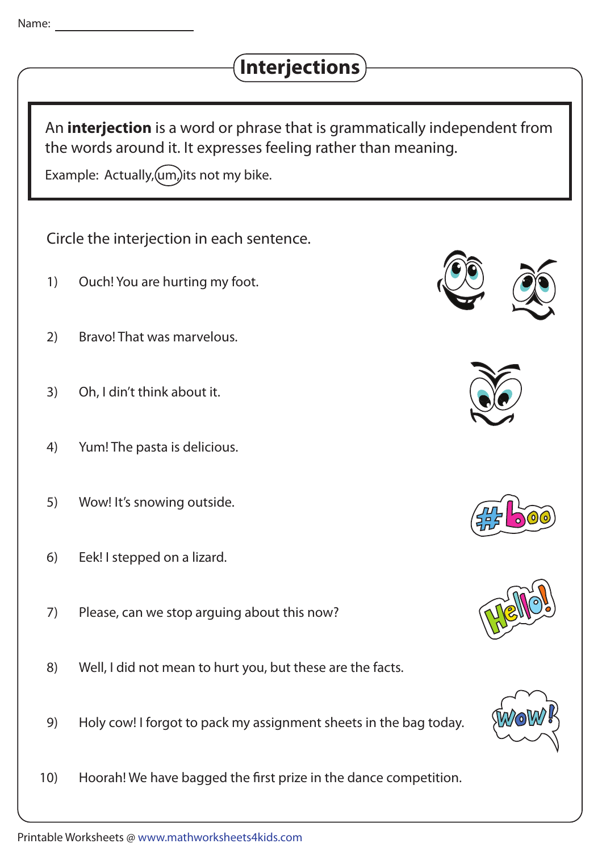## **Interjections**

An **interjection** is a word or phrase that is grammatically independent from the words around it. It expresses feeling rather than meaning.

Example: Actually,  $(u_m)$  its not my bike.

Circle the interjection in each sentence.

- Ouch! You are hurting my foot. 1)
- Bravo! That was marvelous. 2)
- Oh, I din't think about it. 3)
- Yum! The pasta is delicious. 4)
- Wow! It's snowing outside. 5)
- Eek! I stepped on a lizard. 6)
- Please, can we stop arguing about this now? 7)
- Well, I did not mean to hurt you, but these are the facts. 8)
- Holy cow! I forgot to pack my assignment sheets in the bag today. 9)
- Hoorah! We have bagged the first prize in the dance competition. 10)